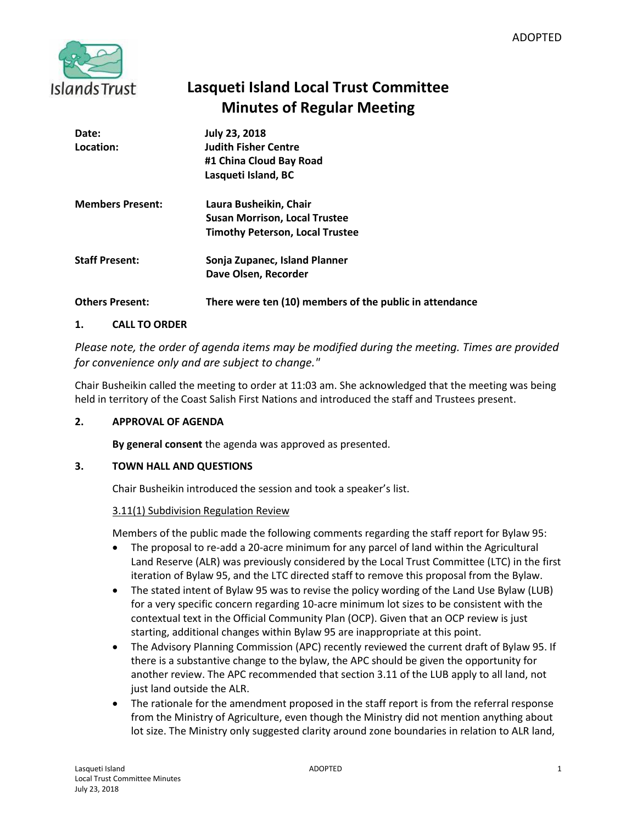

# **Lasqueti Island Local Trust Committee Minutes of Regular Meeting**

| Date:<br>Location:      | <b>July 23, 2018</b><br><b>Judith Fisher Centre</b><br>#1 China Cloud Bay Road<br>Lasqueti Island, BC    |
|-------------------------|----------------------------------------------------------------------------------------------------------|
| <b>Members Present:</b> | Laura Busheikin, Chair<br><b>Susan Morrison, Local Trustee</b><br><b>Timothy Peterson, Local Trustee</b> |
| <b>Staff Present:</b>   | Sonja Zupanec, Island Planner<br>Dave Olsen, Recorder                                                    |
| <b>Others Present:</b>  | There were ten (10) members of the public in attendance                                                  |

# **1. CALL TO ORDER**

*Please note, the order of agenda items may be modified during the meeting. Times are provided for convenience only and are subject to change."*

Chair Busheikin called the meeting to order at 11:03 am. She acknowledged that the meeting was being held in territory of the Coast Salish First Nations and introduced the staff and Trustees present.

# **2. APPROVAL OF AGENDA**

**By general consent** the agenda was approved as presented.

# **3. TOWN HALL AND QUESTIONS**

Chair Busheikin introduced the session and took a speaker's list.

#### 3.11(1) Subdivision Regulation Review

Members of the public made the following comments regarding the staff report for Bylaw 95:

- The proposal to re-add a 20-acre minimum for any parcel of land within the Agricultural Land Reserve (ALR) was previously considered by the Local Trust Committee (LTC) in the first iteration of Bylaw 95, and the LTC directed staff to remove this proposal from the Bylaw.
- The stated intent of Bylaw 95 was to revise the policy wording of the Land Use Bylaw (LUB) for a very specific concern regarding 10-acre minimum lot sizes to be consistent with the contextual text in the Official Community Plan (OCP). Given that an OCP review is just starting, additional changes within Bylaw 95 are inappropriate at this point.
- The Advisory Planning Commission (APC) recently reviewed the current draft of Bylaw 95. If there is a substantive change to the bylaw, the APC should be given the opportunity for another review. The APC recommended that section 3.11 of the LUB apply to all land, not just land outside the ALR.
- The rationale for the amendment proposed in the staff report is from the referral response from the Ministry of Agriculture, even though the Ministry did not mention anything about lot size. The Ministry only suggested clarity around zone boundaries in relation to ALR land,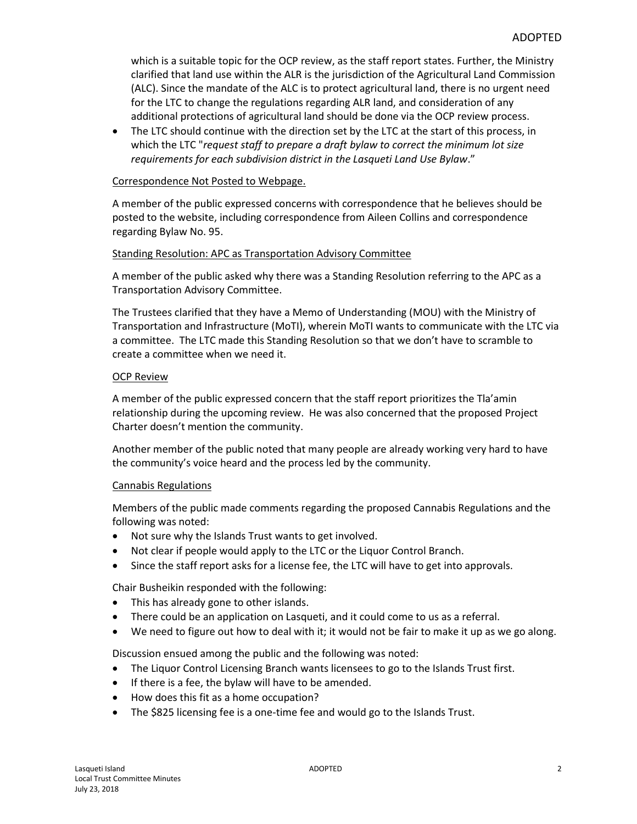which is a suitable topic for the OCP review, as the staff report states. Further, the Ministry clarified that land use within the ALR is the jurisdiction of the Agricultural Land Commission (ALC). Since the mandate of the ALC is to protect agricultural land, there is no urgent need for the LTC to change the regulations regarding ALR land, and consideration of any additional protections of agricultural land should be done via the OCP review process.

• The LTC should continue with the direction set by the LTC at the start of this process, in which the LTC "*request staff to prepare a draft bylaw to correct the minimum lot size requirements for each subdivision district in the Lasqueti Land Use Bylaw*."

#### Correspondence Not Posted to Webpage.

A member of the public expressed concerns with correspondence that he believes should be posted to the website, including correspondence from Aileen Collins and correspondence regarding Bylaw No. 95.

#### Standing Resolution: APC as Transportation Advisory Committee

A member of the public asked why there was a Standing Resolution referring to the APC as a Transportation Advisory Committee.

The Trustees clarified that they have a Memo of Understanding (MOU) with the Ministry of Transportation and Infrastructure (MoTI), wherein MoTI wants to communicate with the LTC via a committee. The LTC made this Standing Resolution so that we don't have to scramble to create a committee when we need it.

#### OCP Review

A member of the public expressed concern that the staff report prioritizes the Tla'amin relationship during the upcoming review. He was also concerned that the proposed Project Charter doesn't mention the community.

Another member of the public noted that many people are already working very hard to have the community's voice heard and the process led by the community.

#### Cannabis Regulations

Members of the public made comments regarding the proposed Cannabis Regulations and the following was noted:

- Not sure why the Islands Trust wants to get involved.
- Not clear if people would apply to the LTC or the Liquor Control Branch.
- Since the staff report asks for a license fee, the LTC will have to get into approvals.

Chair Busheikin responded with the following:

- This has already gone to other islands.
- There could be an application on Lasqueti, and it could come to us as a referral.
- We need to figure out how to deal with it; it would not be fair to make it up as we go along.

Discussion ensued among the public and the following was noted:

- The Liquor Control Licensing Branch wants licensees to go to the Islands Trust first.
- If there is a fee, the bylaw will have to be amended.
- How does this fit as a home occupation?
- The \$825 licensing fee is a one-time fee and would go to the Islands Trust.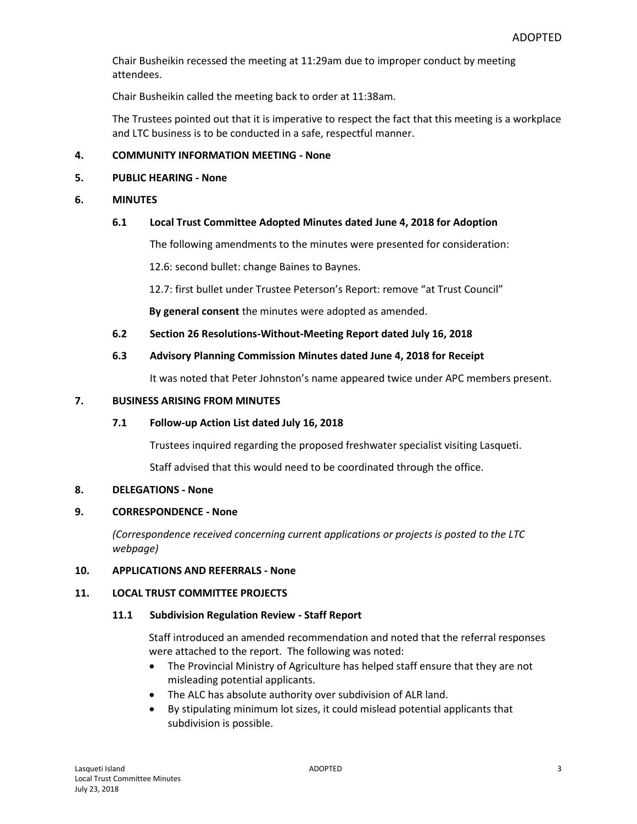Chair Busheikin recessed the meeting at 11:29am due to improper conduct by meeting attendees.

Chair Busheikin called the meeting back to order at 11:38am.

The Trustees pointed out that it is imperative to respect the fact that this meeting is a workplace and LTC business is to be conducted in a safe, respectful manner.

#### **4. COMMUNITY INFORMATION MEETING - None**

#### **5. PUBLIC HEARING - None**

#### **6. MINUTES**

#### **6.1 Local Trust Committee Adopted Minutes dated June 4, 2018 for Adoption**

The following amendments to the minutes were presented for consideration:

12.6: second bullet: change Baines to Baynes.

12.7: first bullet under Trustee Peterson's Report: remove "at Trust Council"

**By general consent** the minutes were adopted as amended.

#### **6.2 Section 26 Resolutions-Without-Meeting Report dated July 16, 2018**

#### **6.3 Advisory Planning Commission Minutes dated June 4, 2018 for Receipt**

It was noted that Peter Johnston's name appeared twice under APC members present.

#### **7. BUSINESS ARISING FROM MINUTES**

#### **7.1 Follow-up Action List dated July 16, 2018**

Trustees inquired regarding the proposed freshwater specialist visiting Lasqueti.

Staff advised that this would need to be coordinated through the office.

#### **8. DELEGATIONS - None**

#### **9. CORRESPONDENCE - None**

*(Correspondence received concerning current applications or projects is posted to the LTC webpage)*

#### **10. APPLICATIONS AND REFERRALS - None**

#### **11. LOCAL TRUST COMMITTEE PROJECTS**

#### **11.1 Subdivision Regulation Review - Staff Report**

Staff introduced an amended recommendation and noted that the referral responses were attached to the report. The following was noted:

- The Provincial Ministry of Agriculture has helped staff ensure that they are not misleading potential applicants.
- The ALC has absolute authority over subdivision of ALR land.
- By stipulating minimum lot sizes, it could mislead potential applicants that subdivision is possible.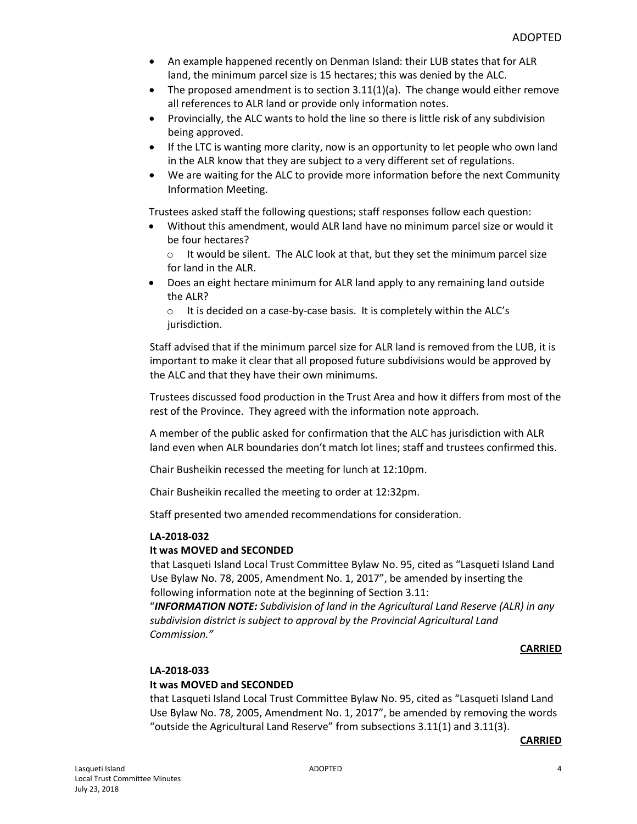- An example happened recently on Denman Island: their LUB states that for ALR land, the minimum parcel size is 15 hectares; this was denied by the ALC.
- The proposed amendment is to section  $3.11(1)(a)$ . The change would either remove all references to ALR land or provide only information notes.
- Provincially, the ALC wants to hold the line so there is little risk of any subdivision being approved.
- If the LTC is wanting more clarity, now is an opportunity to let people who own land in the ALR know that they are subject to a very different set of regulations.
- We are waiting for the ALC to provide more information before the next Community Information Meeting.

Trustees asked staff the following questions; staff responses follow each question:

- Without this amendment, would ALR land have no minimum parcel size or would it be four hectares?
	- o It would be silent. The ALC look at that, but they set the minimum parcel size for land in the ALR.
- Does an eight hectare minimum for ALR land apply to any remaining land outside the ALR?

o It is decided on a case-by-case basis. It is completely within the ALC's jurisdiction.

Staff advised that if the minimum parcel size for ALR land is removed from the LUB, it is important to make it clear that all proposed future subdivisions would be approved by the ALC and that they have their own minimums.

Trustees discussed food production in the Trust Area and how it differs from most of the rest of the Province. They agreed with the information note approach.

A member of the public asked for confirmation that the ALC has jurisdiction with ALR land even when ALR boundaries don't match lot lines; staff and trustees confirmed this.

Chair Busheikin recessed the meeting for lunch at 12:10pm.

Chair Busheikin recalled the meeting to order at 12:32pm.

Staff presented two amended recommendations for consideration.

#### **LA-2018-032**

#### **It was MOVED and SECONDED**

that Lasqueti Island Local Trust Committee Bylaw No. 95, cited as "Lasqueti Island Land Use Bylaw No. 78, 2005, Amendment No. 1, 2017", be amended by inserting the following information note at the beginning of Section 3.11:

"*INFORMATION NOTE: Subdivision of land in the Agricultural Land Reserve (ALR) in any subdivision district is subject to approval by the Provincial Agricultural Land Commission."*

#### **CARRIED**

#### **LA-2018-033**

## **It was MOVED and SECONDED**

that Lasqueti Island Local Trust Committee Bylaw No. 95, cited as "Lasqueti Island Land Use Bylaw No. 78, 2005, Amendment No. 1, 2017", be amended by removing the words "outside the Agricultural Land Reserve" from subsections 3.11(1) and 3.11(3).

#### **CARRIED**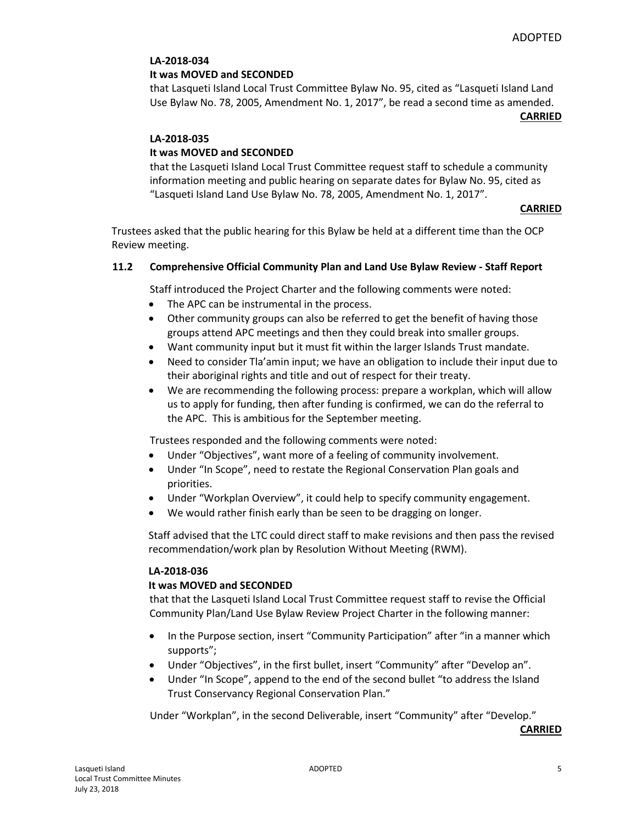# **LA-2018-034**

#### **It was MOVED and SECONDED**

that Lasqueti Island Local Trust Committee Bylaw No. 95, cited as "Lasqueti Island Land Use Bylaw No. 78, 2005, Amendment No. 1, 2017", be read a second time as amended.

**CARRIED**

#### **LA-2018-035**

# **It was MOVED and SECONDED**

that the Lasqueti Island Local Trust Committee request staff to schedule a community information meeting and public hearing on separate dates for Bylaw No. 95, cited as "Lasqueti Island Land Use Bylaw No. 78, 2005, Amendment No. 1, 2017".

#### **CARRIED**

Trustees asked that the public hearing for this Bylaw be held at a different time than the OCP Review meeting.

#### **11.2 Comprehensive Official Community Plan and Land Use Bylaw Review - Staff Report**

Staff introduced the Project Charter and the following comments were noted:

- The APC can be instrumental in the process.
- Other community groups can also be referred to get the benefit of having those groups attend APC meetings and then they could break into smaller groups.
- Want community input but it must fit within the larger Islands Trust mandate.
- Need to consider Tla'amin input; we have an obligation to include their input due to their aboriginal rights and title and out of respect for their treaty.
- We are recommending the following process: prepare a workplan, which will allow us to apply for funding, then after funding is confirmed, we can do the referral to the APC. This is ambitious for the September meeting.

Trustees responded and the following comments were noted:

- Under "Objectives", want more of a feeling of community involvement.
- Under "In Scope", need to restate the Regional Conservation Plan goals and priorities.
- Under "Workplan Overview", it could help to specify community engagement.
- We would rather finish early than be seen to be dragging on longer.

Staff advised that the LTC could direct staff to make revisions and then pass the revised recommendation/work plan by Resolution Without Meeting (RWM).

#### **LA-2018-036**

#### **It was MOVED and SECONDED**

that that the Lasqueti Island Local Trust Committee request staff to revise the Official Community Plan/Land Use Bylaw Review Project Charter in the following manner:

- In the Purpose section, insert "Community Participation" after "in a manner which supports";
- Under "Objectives", in the first bullet, insert "Community" after "Develop an".
- Under "In Scope", append to the end of the second bullet "to address the Island Trust Conservancy Regional Conservation Plan."

Under "Workplan", in the second Deliverable, insert "Community" after "Develop."

**CARRIED**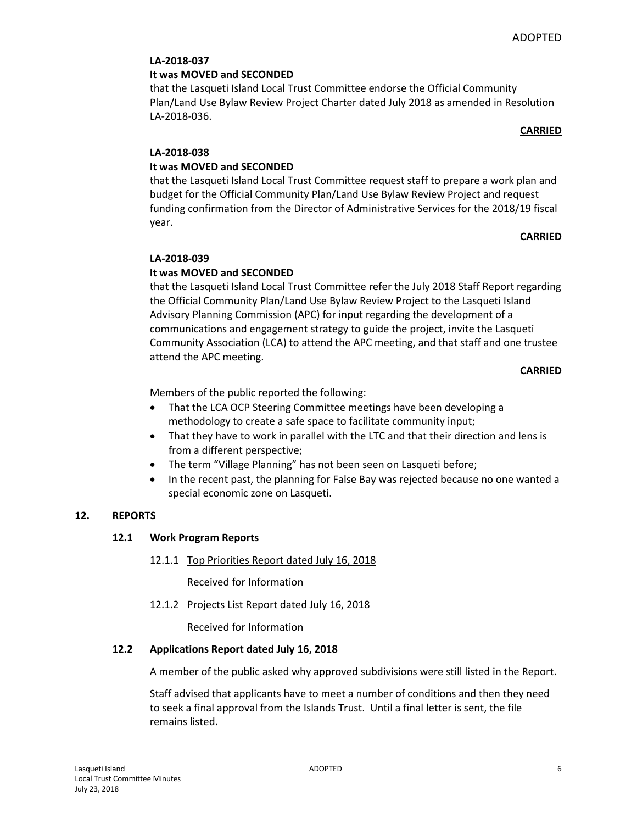# **LA-2018-037**

## **It was MOVED and SECONDED**

that the Lasqueti Island Local Trust Committee endorse the Official Community Plan/Land Use Bylaw Review Project Charter dated July 2018 as amended in Resolution LA-2018-036.

#### **CARRIED**

# **LA-2018-038**

# **It was MOVED and SECONDED**

that the Lasqueti Island Local Trust Committee request staff to prepare a work plan and budget for the Official Community Plan/Land Use Bylaw Review Project and request funding confirmation from the Director of Administrative Services for the 2018/19 fiscal year.

# **CARRIED**

# **LA-2018-039**

# **It was MOVED and SECONDED**

that the Lasqueti Island Local Trust Committee refer the July 2018 Staff Report regarding the Official Community Plan/Land Use Bylaw Review Project to the Lasqueti Island Advisory Planning Commission (APC) for input regarding the development of a communications and engagement strategy to guide the project, invite the Lasqueti Community Association (LCA) to attend the APC meeting, and that staff and one trustee attend the APC meeting.

#### **CARRIED**

Members of the public reported the following:

- That the LCA OCP Steering Committee meetings have been developing a methodology to create a safe space to facilitate community input;
- That they have to work in parallel with the LTC and that their direction and lens is from a different perspective;
- The term "Village Planning" has not been seen on Lasqueti before;
- In the recent past, the planning for False Bay was rejected because no one wanted a special economic zone on Lasqueti.

#### **12. REPORTS**

# **12.1 Work Program Reports**

12.1.1 Top Priorities Report dated July 16, 2018

Received for Information

12.1.2 Projects List Report dated July 16, 2018

Received for Information

#### **12.2 Applications Report dated July 16, 2018**

A member of the public asked why approved subdivisions were still listed in the Report.

Staff advised that applicants have to meet a number of conditions and then they need to seek a final approval from the Islands Trust. Until a final letter is sent, the file remains listed.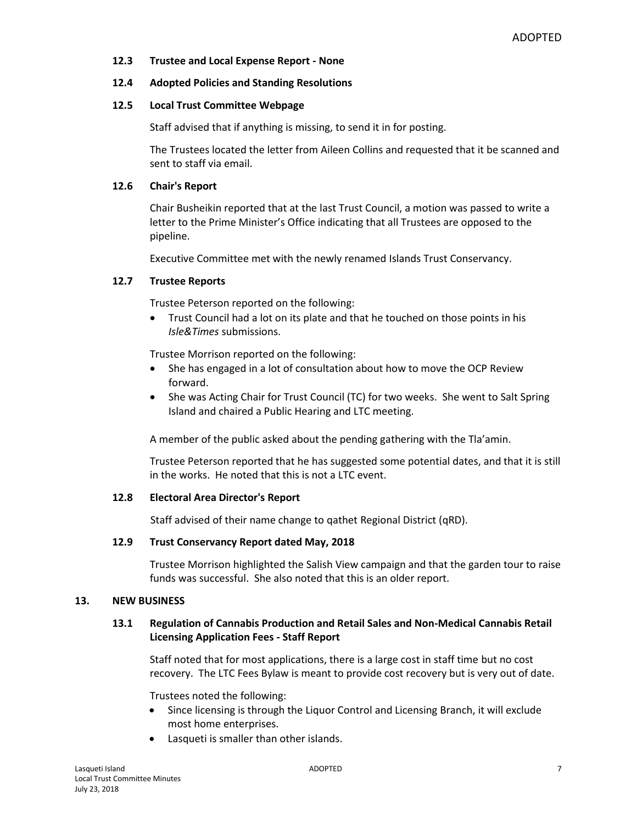#### **12.3 Trustee and Local Expense Report - None**

#### **12.4 Adopted Policies and Standing Resolutions**

#### **12.5 Local Trust Committee Webpage**

Staff advised that if anything is missing, to send it in for posting.

The Trustees located the letter from Aileen Collins and requested that it be scanned and sent to staff via email.

#### **12.6 Chair's Report**

Chair Busheikin reported that at the last Trust Council, a motion was passed to write a letter to the Prime Minister's Office indicating that all Trustees are opposed to the pipeline.

Executive Committee met with the newly renamed Islands Trust Conservancy.

#### **12.7 Trustee Reports**

Trustee Peterson reported on the following:

 Trust Council had a lot on its plate and that he touched on those points in his *Isle&Times* submissions.

Trustee Morrison reported on the following:

- She has engaged in a lot of consultation about how to move the OCP Review forward.
- She was Acting Chair for Trust Council (TC) for two weeks. She went to Salt Spring Island and chaired a Public Hearing and LTC meeting.

A member of the public asked about the pending gathering with the Tla'amin.

Trustee Peterson reported that he has suggested some potential dates, and that it is still in the works. He noted that this is not a LTC event.

#### **12.8 Electoral Area Director's Report**

Staff advised of their name change to qathet Regional District (qRD).

#### **12.9 Trust Conservancy Report dated May, 2018**

Trustee Morrison highlighted the Salish View campaign and that the garden tour to raise funds was successful. She also noted that this is an older report.

#### **13. NEW BUSINESS**

#### **13.1 Regulation of Cannabis Production and Retail Sales and Non-Medical Cannabis Retail Licensing Application Fees - Staff Report**

Staff noted that for most applications, there is a large cost in staff time but no cost recovery. The LTC Fees Bylaw is meant to provide cost recovery but is very out of date.

Trustees noted the following:

- Since licensing is through the Liquor Control and Licensing Branch, it will exclude most home enterprises.
- Lasqueti is smaller than other islands.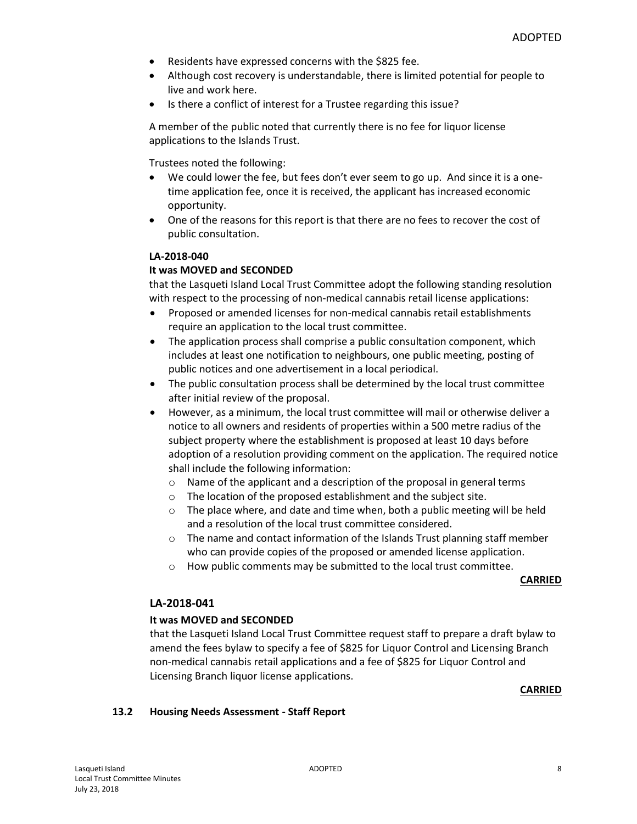- Residents have expressed concerns with the \$825 fee.
- Although cost recovery is understandable, there is limited potential for people to live and work here.
- Is there a conflict of interest for a Trustee regarding this issue?

A member of the public noted that currently there is no fee for liquor license applications to the Islands Trust.

Trustees noted the following:

- We could lower the fee, but fees don't ever seem to go up. And since it is a onetime application fee, once it is received, the applicant has increased economic opportunity.
- One of the reasons for this report is that there are no fees to recover the cost of public consultation.

# **LA-2018-040**

# **It was MOVED and SECONDED**

that the Lasqueti Island Local Trust Committee adopt the following standing resolution with respect to the processing of non-medical cannabis retail license applications:

- Proposed or amended licenses for non-medical cannabis retail establishments require an application to the local trust committee.
- The application process shall comprise a public consultation component, which includes at least one notification to neighbours, one public meeting, posting of public notices and one advertisement in a local periodical.
- The public consultation process shall be determined by the local trust committee after initial review of the proposal.
- However, as a minimum, the local trust committee will mail or otherwise deliver a notice to all owners and residents of properties within a 500 metre radius of the subject property where the establishment is proposed at least 10 days before adoption of a resolution providing comment on the application. The required notice shall include the following information:
	- o Name of the applicant and a description of the proposal in general terms
	- o The location of the proposed establishment and the subject site.
	- $\circ$  The place where, and date and time when, both a public meeting will be held and a resolution of the local trust committee considered.
	- $\circ$  The name and contact information of the Islands Trust planning staff member who can provide copies of the proposed or amended license application.
	- o How public comments may be submitted to the local trust committee.

**CARRIED**

## **LA-2018-041**

#### **It was MOVED and SECONDED**

that the Lasqueti Island Local Trust Committee request staff to prepare a draft bylaw to amend the fees bylaw to specify a fee of \$825 for Liquor Control and Licensing Branch non-medical cannabis retail applications and a fee of \$825 for Liquor Control and Licensing Branch liquor license applications.

**CARRIED**

#### **13.2 Housing Needs Assessment - Staff Report**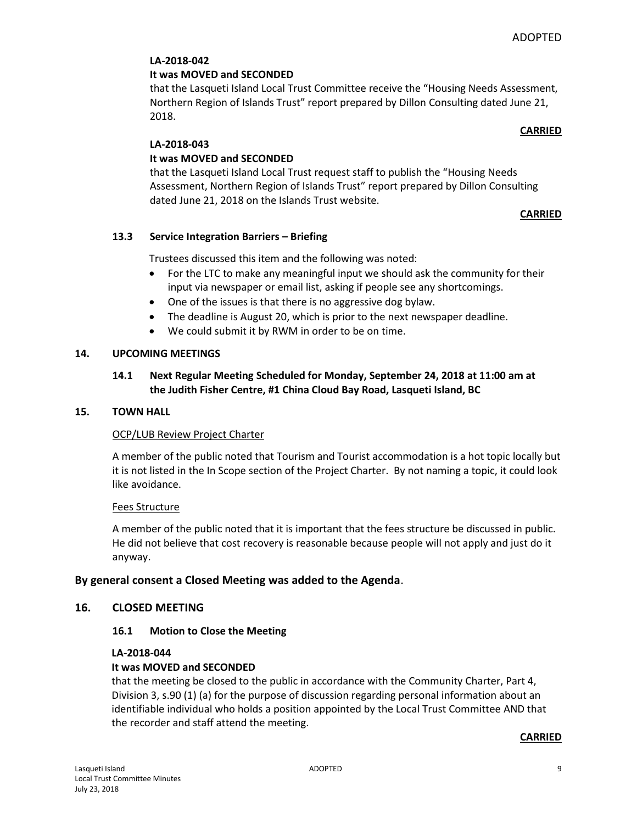# **LA-2018-042**

## **It was MOVED and SECONDED**

that the Lasqueti Island Local Trust Committee receive the "Housing Needs Assessment, Northern Region of Islands Trust" report prepared by Dillon Consulting dated June 21, 2018.

#### **CARRIED**

# **LA-2018-043**

# **It was MOVED and SECONDED**

that the Lasqueti Island Local Trust request staff to publish the "Housing Needs Assessment, Northern Region of Islands Trust" report prepared by Dillon Consulting dated June 21, 2018 on the Islands Trust website.

#### **CARRIED**

# **13.3 Service Integration Barriers – Briefing**

Trustees discussed this item and the following was noted:

- For the LTC to make any meaningful input we should ask the community for their input via newspaper or email list, asking if people see any shortcomings.
- One of the issues is that there is no aggressive dog bylaw.
- The deadline is August 20, which is prior to the next newspaper deadline.
- We could submit it by RWM in order to be on time.

#### **14. UPCOMING MEETINGS**

# **14.1 Next Regular Meeting Scheduled for Monday, September 24, 2018 at 11:00 am at the Judith Fisher Centre, #1 China Cloud Bay Road, Lasqueti Island, BC**

#### **15. TOWN HALL**

#### OCP/LUB Review Project Charter

A member of the public noted that Tourism and Tourist accommodation is a hot topic locally but it is not listed in the In Scope section of the Project Charter. By not naming a topic, it could look like avoidance.

#### Fees Structure

A member of the public noted that it is important that the fees structure be discussed in public. He did not believe that cost recovery is reasonable because people will not apply and just do it anyway.

#### **By general consent a Closed Meeting was added to the Agenda**.

#### **16. CLOSED MEETING**

#### **16.1 Motion to Close the Meeting**

#### **LA-2018-044**

# **It was MOVED and SECONDED**

that the meeting be closed to the public in accordance with the Community Charter, Part 4, Division 3, s.90 (1) (a) for the purpose of discussion regarding personal information about an identifiable individual who holds a position appointed by the Local Trust Committee AND that the recorder and staff attend the meeting.

#### **CARRIED**